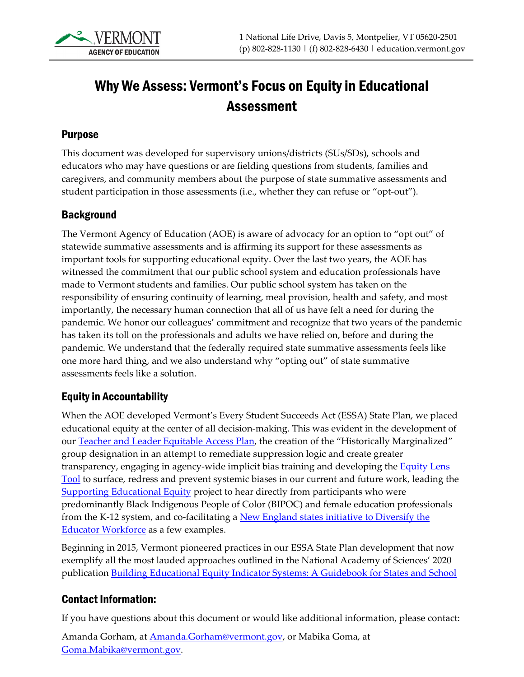

# Why We Assess: Vermont's Focus on Equity in Educational Assessment

#### Purpose

This document was developed for supervisory unions/districts (SUs/SDs), schools and educators who may have questions or are fielding questions from students, families and caregivers, and community members about the purpose of state summative assessments and student participation in those assessments (i.e., whether they can refuse or "opt-out").

#### Background

The Vermont Agency of Education (AOE) is aware of advocacy for an option to "opt out" of statewide summative assessments and is affirming its support for these assessments as important tools for supporting educational equity. Over the last two years, the AOE has witnessed the commitment that our public school system and education professionals have made to Vermont students and families. Our public school system has taken on the responsibility of ensuring continuity of learning, meal provision, health and safety, and most importantly, the necessary human connection that all of us have felt a need for during the pandemic. We honor our colleagues' commitment and recognize that two years of the pandemic has taken its toll on the professionals and adults we have relied on, before and during the pandemic. We understand that the federally required state summative assessments feels like one more hard thing, and we also understand why "opting out" of state summative assessments feels like a solution.

#### Equity in Accountability

When the AOE developed Vermont's Every Student Succeeds Act (ESSA) State Plan, we placed educational equity at the center of all decision-making. This was evident in the development of our [Teacher and Leader Equitable Access Plan,](https://www2.ed.gov/programs/titleiparta/equitable/vtequityplan92915.pdf) the creation of the "Historically Marginalized" group designation in an attempt to remediate suppression logic and create greater transparency, engaging in agency-wide implicit bias training and developing the **Equity Lens** [Tool](https://www2.ed.gov/programs/titleiparta/equitable/vtequityplan92915.pdf) to surface, redress and prevent systemic biases in our current and future work, leading the [Supporting Educational Equity](https://www2.ed.gov/programs/titleiparta/equitable/vtequityplan92915.pdf) project to hear directly from participants who were predominantly Black Indigenous People of Color (BIPOC) and female education professionals from the K-12 system, and co-facilitating a [New England states initiative to D](https://www.greatschoolspartnership.org/dew-collaborative/)iversify the Educator Workforce as a few examples.

Beginning in 2015, Vermont pioneered practices in our ESSA State Plan development that now exemplify all the most lauded approaches outlined in the National Academy of Sciences' 2020 publication [Building Educational Equity Indicator Systems: A Guidebook for States and School](https://www.nap.edu/catalog/25833/building-educational-equity-indicator-systems-a-guidebook-for-states-and) 

## Contact Information:

If you have questions about this document or would like additional information, please contact:

Amanda Gorham, at **Amanda.Gorham@vermont.gov**, or Mabika Goma, at [Goma.Mabika@vermont.gov.](mailto:Goma.Mabika@vermont.gov)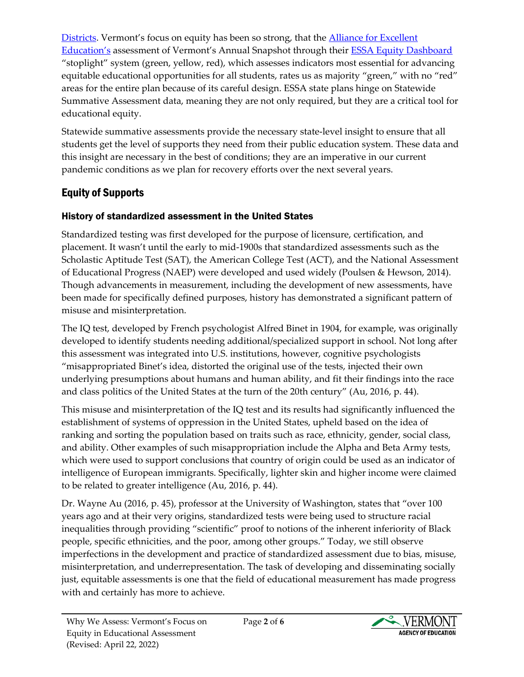[Districts.](https://www.nap.edu/catalog/25833/building-educational-equity-indicator-systems-a-guidebook-for-states-and) Vermont's focus on equity has been so strong, that the [Alliance for Excellent](https://all4ed.org/policy/essa/)  [Education'](https://all4ed.org/policy/essa/)s assessment of Vermont's Annual Snapshot through their [ESSA Equity Dashboard](https://all4ed.org/wp-content/uploads/2018/12/VT-EquityDashboard-FINAL.pdf) "stoplight" system (green, yellow, red), which assesses indicators most essential for advancing equitable educational opportunities for all students, rates us as majority "green," with no "red" areas for the entire plan because of its careful design. ESSA state plans hinge on Statewide Summative Assessment data, meaning they are not only required, but they are a critical tool for educational equity.

Statewide summative assessments provide the necessary state-level insight to ensure that all students get the level of supports they need from their public education system*.* These data and this insight are necessary in the best of conditions; they are an imperative in our current pandemic conditions as we plan for recovery efforts over the next several years.

# Equity of Supports

## History of standardized assessment in the United States

Standardized testing was first developed for the purpose of licensure, certification, and placement. It wasn't until the early to mid-1900s that standardized assessments such as the Scholastic Aptitude Test (SAT), the American College Test (ACT), and the National Assessment of Educational Progress (NAEP) were developed and used widely (Poulsen & Hewson, 2014). Though advancements in measurement, including the development of new assessments, have been made for specifically defined purposes, history has demonstrated a significant pattern of misuse and misinterpretation.

The IQ test, developed by French psychologist Alfred Binet in 1904, for example, was originally developed to identify students needing additional/specialized support in school. Not long after this assessment was integrated into U.S. institutions, however, cognitive psychologists "misappropriated Binet's idea, distorted the original use of the tests, injected their own underlying presumptions about humans and human ability, and fit their findings into the race and class politics of the United States at the turn of the 20th century" (Au, 2016, p. 44).

This misuse and misinterpretation of the IQ test and its results had significantly influenced the establishment of systems of oppression in the United States, upheld based on the idea of ranking and sorting the population based on traits such as race, ethnicity, gender, social class, and ability. Other examples of such misappropriation include the Alpha and Beta Army tests, which were used to support conclusions that country of origin could be used as an indicator of intelligence of European immigrants. Specifically, lighter skin and higher income were claimed to be related to greater intelligence (Au, 2016, p. 44).

Dr. Wayne Au (2016, p. 45), professor at the University of Washington, states that "over 100 years ago and at their very origins, standardized tests were being used to structure racial inequalities through providing "scientific" proof to notions of the inherent inferiority of Black people, specific ethnicities, and the poor, among other groups." Today, we still observe imperfections in the development and practice of standardized assessment due to bias, misuse, misinterpretation, and underrepresentation. The task of developing and disseminating socially just, equitable assessments is one that the field of educational measurement has made progress with and certainly has more to achieve.

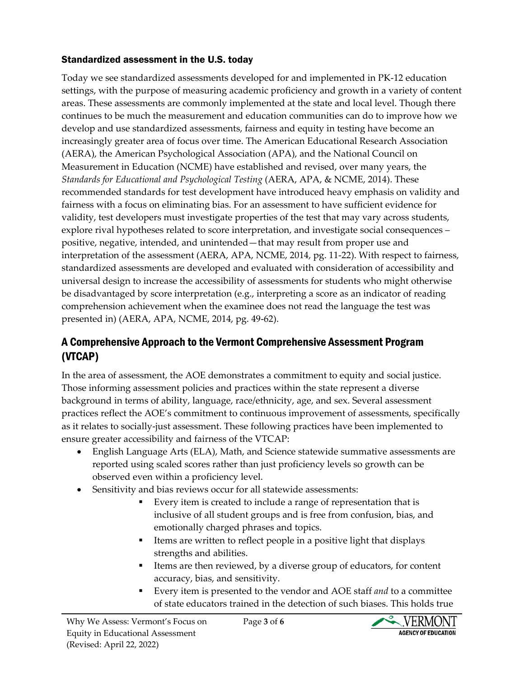## Standardized assessment in the U.S. today

Today we see standardized assessments developed for and implemented in PK-12 education settings, with the purpose of measuring academic proficiency and growth in a variety of content areas. These assessments are commonly implemented at the state and local level. Though there continues to be much the measurement and education communities can do to improve how we develop and use standardized assessments, fairness and equity in testing have become an increasingly greater area of focus over time. The American Educational Research Association (AERA), the American Psychological Association (APA), and the National Council on Measurement in Education (NCME) have established and revised, over many years, the *Standards for Educational and Psychological Testing* (AERA, APA, & NCME, 2014). These recommended standards for test development have introduced heavy emphasis on validity and fairness with a focus on eliminating bias. For an assessment to have sufficient evidence for validity, test developers must investigate properties of the test that may vary across students, explore rival hypotheses related to score interpretation, and investigate social consequences – positive, negative, intended, and unintended—that may result from proper use and interpretation of the assessment (AERA, APA, NCME, 2014, pg. 11-22). With respect to fairness, standardized assessments are developed and evaluated with consideration of accessibility and universal design to increase the accessibility of assessments for students who might otherwise be disadvantaged by score interpretation (e.g., interpreting a score as an indicator of reading comprehension achievement when the examinee does not read the language the test was presented in) (AERA, APA, NCME, 2014, pg. 49-62).

## A Comprehensive Approach to the Vermont Comprehensive Assessment Program (VTCAP)

In the area of assessment, the AOE demonstrates a commitment to equity and social justice. Those informing assessment policies and practices within the state represent a diverse background in terms of ability, language, race/ethnicity, age, and sex. Several assessment practices reflect the AOE's commitment to continuous improvement of assessments, specifically as it relates to socially-just assessment. These following practices have been implemented to ensure greater accessibility and fairness of the VTCAP:

- English Language Arts (ELA), Math, and Science statewide summative assessments are reported using scaled scores rather than just proficiency levels so growth can be observed even within a proficiency level.
- Sensitivity and bias reviews occur for all statewide assessments:
	- Every item is created to include a range of representation that is inclusive of all student groups and is free from confusion, bias, and emotionally charged phrases and topics.
	- Items are written to reflect people in a positive light that displays strengths and abilities.
	- Items are then reviewed, by a diverse group of educators, for content accuracy, bias, and sensitivity.
	- Every item is presented to the vendor and AOE staff *and* to a committee of state educators trained in the detection of such biases. This holds true

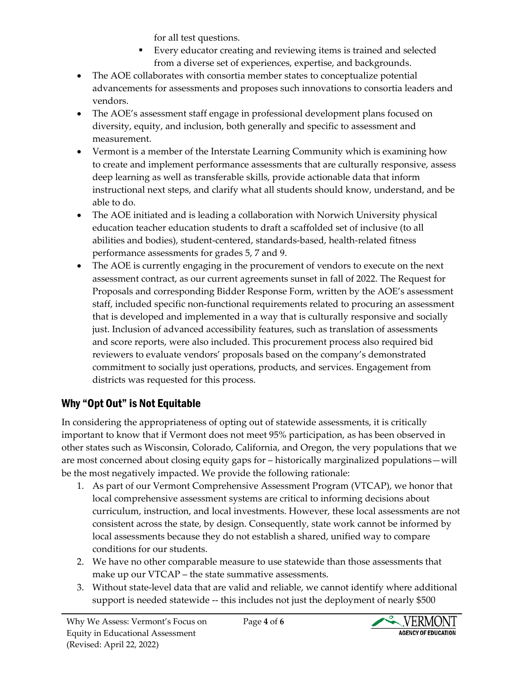for all test questions.

- Every educator creating and reviewing items is trained and selected from a diverse set of experiences, expertise, and backgrounds.
- The AOE collaborates with consortia member states to conceptualize potential advancements for assessments and proposes such innovations to consortia leaders and vendors.
- The AOE's assessment staff engage in professional development plans focused on diversity, equity, and inclusion, both generally and specific to assessment and measurement.
- Vermont is a member of the Interstate Learning Community which is examining how to create and implement performance assessments that are culturally responsive, assess deep learning as well as transferable skills, provide actionable data that inform instructional next steps, and clarify what all students should know, understand, and be able to do.
- The AOE initiated and is leading a collaboration with Norwich University physical education teacher education students to draft a scaffolded set of inclusive (to all abilities and bodies), student-centered, standards-based, health-related fitness performance assessments for grades 5, 7 and 9.
- The AOE is currently engaging in the procurement of vendors to execute on the next assessment contract, as our current agreements sunset in fall of 2022. The Request for Proposals and corresponding Bidder Response Form, written by the AOE's assessment staff, included specific non-functional requirements related to procuring an assessment that is developed and implemented in a way that is culturally responsive and socially just. Inclusion of advanced accessibility features, such as translation of assessments and score reports, were also included. This procurement process also required bid reviewers to evaluate vendors' proposals based on the company's demonstrated commitment to socially just operations, products, and services. Engagement from districts was requested for this process.

# Why "Opt Out" is Not Equitable

In considering the appropriateness of opting out of statewide assessments, it is critically important to know that if Vermont does not meet 95% participation, as has been observed in other states such as Wisconsin, Colorado, California, and Oregon, the very populations that we are most concerned about closing equity gaps for – historically marginalized populations—will be the most negatively impacted. We provide the following rationale:

- 1. As part of our Vermont Comprehensive Assessment Program (VTCAP), we honor that local comprehensive assessment systems are critical to informing decisions about curriculum, instruction, and local investments. However, these local assessments are not consistent across the state, by design. Consequently, state work cannot be informed by local assessments because they do not establish a shared, unified way to compare conditions for our students.
- 2. We have no other comparable measure to use statewide than those assessments that make up our VTCAP – the state summative assessments.
- 3. Without state-level data that are valid and reliable, we cannot identify where additional support is needed statewide -- this includes not just the deployment of nearly \$500

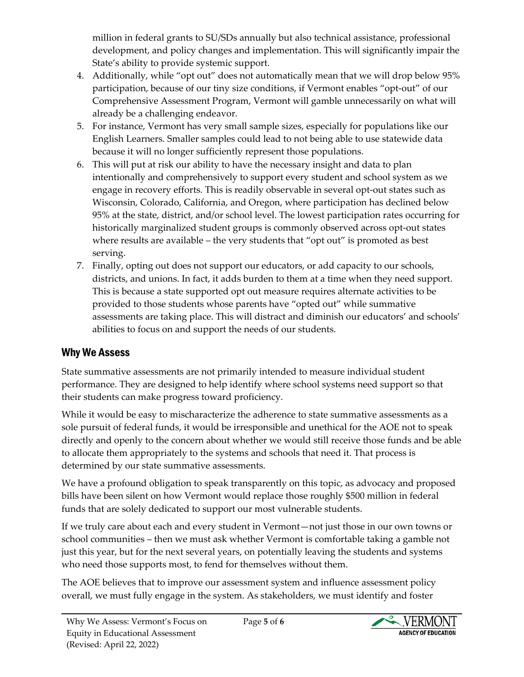million in federal grants to SU/SDs annually but also technical assistance, professional development, and policy changes and implementation. This will significantly impair the State's ability to provide systemic support.

- 4. Additionally, while "opt out" does not automatically mean that we will drop below 95% participation, because of our tiny size conditions, if Vermont enables "opt-out" of our Comprehensive Assessment Program, Vermont will gamble unnecessarily on what will already be a challenging endeavor.
- 5. For instance, Vermont has very small sample sizes, especially for populations like our English Learners. Smaller samples could lead to not being able to use statewide data because it will no longer sufficiently represent those populations.
- 6. This will put at risk our ability to have the necessary insight and data to plan intentionally and comprehensively to support every student and school system as we engage in recovery efforts. This is readily observable in several opt-out states such as Wisconsin, Colorado, California, and Oregon, where participation has declined below 95% at the state, district, and/or school level. The lowest participation rates occurring for historically marginalized student groups is commonly observed across opt-out states where results are available – the very students that "opt out" is promoted as best serving.
- 7. Finally, opting out does not support our educators, or add capacity to our schools, districts, and unions. In fact, it adds burden to them at a time when they need support. This is because a state supported opt out measure requires alternate activities to be provided to those students whose parents have "opted out" while summative assessments are taking place. This will distract and diminish our educators' and schools' abilities to focus on and support the needs of our students.

# Why We Assess

State summative assessments are not primarily intended to measure individual student performance. They are designed to help identify where school systems need support so that their students can make progress toward proficiency.

While it would be easy to mischaracterize the adherence to state summative assessments as a sole pursuit of federal funds, it would be irresponsible and unethical for the AOE not to speak directly and openly to the concern about whether we would still receive those funds and be able to allocate them appropriately to the systems and schools that need it. That process is determined by our state summative assessments.

We have a profound obligation to speak transparently on this topic, as advocacy and proposed bills have been silent on how Vermont would replace those roughly \$500 million in federal funds that are solely dedicated to support our most vulnerable students.

If we truly care about each and every student in Vermont—not just those in our own towns or school communities – then we must ask whether Vermont is comfortable taking a gamble not just this year, but for the next several years, on potentially leaving the students and systems who need those supports most, to fend for themselves without them.

The AOE believes that to improve our assessment system and influence assessment policy overall, we must fully engage in the system. As stakeholders, we must identify and foster